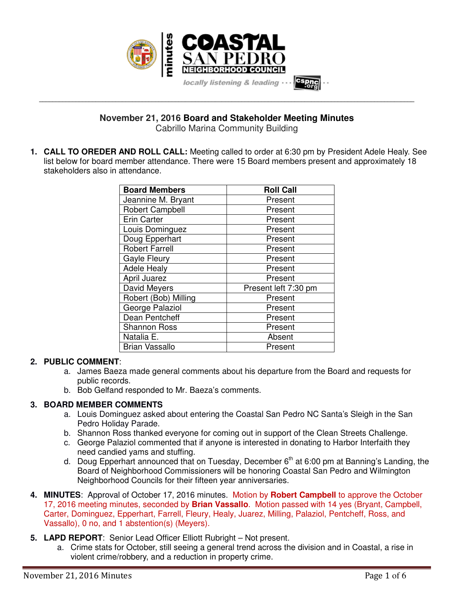

**November 21, 2016 Board and Stakeholder Meeting Minutes**

**\_\_\_\_\_\_\_\_\_\_\_\_\_\_\_\_\_\_\_\_\_\_\_\_\_\_\_\_\_\_\_\_\_\_\_\_\_\_\_\_\_\_\_\_\_\_\_\_\_\_\_\_\_\_\_\_\_\_\_\_\_\_\_\_\_\_\_\_\_\_\_\_\_\_\_\_\_\_\_\_\_\_\_\_\_\_\_\_\_\_\_\_\_\_\_\_\_\_\_\_\_\_\_\_\_\_\_\_\_\_\_\_\_**

Cabrillo Marina Community Building

**1. CALL TO OREDER AND ROLL CALL:** Meeting called to order at 6:30 pm by President Adele Healy. See list below for board member attendance. There were 15 Board members present and approximately 18 stakeholders also in attendance.

| <b>Board Members</b>   | <b>Roll Call</b>     |
|------------------------|----------------------|
| Jeannine M. Bryant     | Present              |
| <b>Robert Campbell</b> | Present              |
| Erin Carter            | Present              |
| Louis Dominguez        | Present              |
| Doug Epperhart         | Present              |
| <b>Robert Farrell</b>  | Present              |
| <b>Gayle Fleury</b>    | Present              |
| <b>Adele Healy</b>     | Present              |
| <b>April Juarez</b>    | Present              |
| David Meyers           | Present left 7:30 pm |
| Robert (Bob) Milling   | Present              |
| George Palaziol        | Present              |
| Dean Pentcheff         | Present              |
| <b>Shannon Ross</b>    | Present              |
| Natalia E.             | Absent               |
| Brian Vassallo         | Present              |

## **2. PUBLIC COMMENT**:

- a. James Baeza made general comments about his departure from the Board and requests for public records.
- b. Bob Gelfand responded to Mr. Baeza's comments.

# **3. BOARD MEMBER COMMENTS**

- a. Louis Dominguez asked about entering the Coastal San Pedro NC Santa's Sleigh in the San Pedro Holiday Parade.
- b. Shannon Ross thanked everyone for coming out in support of the Clean Streets Challenge.
- c. George Palaziol commented that if anyone is interested in donating to Harbor Interfaith they need candied yams and stuffing.
- d. Doug Epperhart announced that on Tuesday, December  $6<sup>th</sup>$  at 6:00 pm at Banning's Landing, the Board of Neighborhood Commissioners will be honoring Coastal San Pedro and Wilmington Neighborhood Councils for their fifteen year anniversaries.
- **4. MINUTES**: Approval of October 17, 2016 minutes. Motion by **Robert Campbell** to approve the October 17, 2016 meeting minutes, seconded by **Brian Vassallo**. Motion passed with 14 yes (Bryant, Campbell, Carter, Dominguez, Epperhart, Farrell, Fleury, Healy, Juarez, Milling, Palaziol, Pentcheff, Ross, and Vassallo), 0 no, and 1 abstention(s) (Meyers).
- **5. LAPD REPORT**: Senior Lead Officer Elliott Rubright Not present.
	- a. Crime stats for October, still seeing a general trend across the division and in Coastal, a rise in violent crime/robbery, and a reduction in property crime.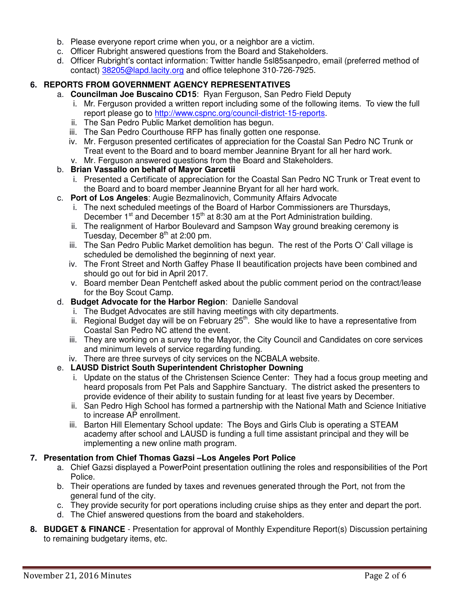- b. Please everyone report crime when you, or a neighbor are a victim.
- c. Officer Rubright answered questions from the Board and Stakeholders.
- d. Officer Rubright's contact information: Twitter handle 5sl85sanpedro, email (preferred method of contact) 38205@lapd.lacity.org and office telephone 310-726-7925.

## **6. REPORTS FROM GOVERNMENT AGENCY REPRESENTATIVES**

- a. **Councilman Joe Buscaino CD15**: Ryan Ferguson, San Pedro Field Deputy
	- i. Mr. Ferguson provided a written report including some of the following items. To view the full report please go to http://www.cspnc.org/council-district-15-reports.
	- ii. The San Pedro Public Market demolition has begun.
	- iii. The San Pedro Courthouse RFP has finally gotten one response.
	- iv. Mr. Ferguson presented certificates of appreciation for the Coastal San Pedro NC Trunk or Treat event to the Board and to board member Jeannine Bryant for all her hard work.
- v. Mr. Ferguson answered questions from the Board and Stakeholders.

# b. **Brian Vassallo on behalf of Mayor Garcetii**

- i. Presented a Certificate of appreciation for the Coastal San Pedro NC Trunk or Treat event to the Board and to board member Jeannine Bryant for all her hard work.
- c. **Port of Los Angeles**: Augie Bezmalinovich, Community Affairs Advocate
	- i. The next scheduled meetings of the Board of Harbor Commissioners are Thursdays, December  $1<sup>st</sup>$  and December  $15<sup>th</sup>$  at 8:30 am at the Port Administration building.
	- ii. The realignment of Harbor Boulevard and Sampson Way ground breaking ceremony is Tuesday, December  $8<sup>th</sup>$  at 2:00 pm.
	- iii. The San Pedro Public Market demolition has begun. The rest of the Ports O' Call village is scheduled be demolished the beginning of next year.
	- iv. The Front Street and North Gaffey Phase II beautification projects have been combined and should go out for bid in April 2017.
	- v. Board member Dean Pentcheff asked about the public comment period on the contract/lease for the Boy Scout Camp.
- d. **Budget Advocate for the Harbor Region**: Danielle Sandoval
	- i. The Budget Advocates are still having meetings with city departments.
	- ii. Regional Budget day will be on February  $25<sup>th</sup>$ . She would like to have a representative from Coastal San Pedro NC attend the event.
	- iii. They are working on a survey to the Mayor, the City Council and Candidates on core services and minimum levels of service regarding funding.
	- iv. There are three surveys of city services on the NCBALA website.

## e. **LAUSD District South Superintendent Christopher Downing**

- i. Update on the status of the Christensen Science Center: They had a focus group meeting and heard proposals from Pet Pals and Sapphire Sanctuary. The district asked the presenters to provide evidence of their ability to sustain funding for at least five years by December.
- ii. San Pedro High School has formed a partnership with the National Math and Science Initiative to increase AP enrollment.
- iii. Barton Hill Elementary School update: The Boys and Girls Club is operating a STEAM academy after school and LAUSD is funding a full time assistant principal and they will be implementing a new online math program.

## **7. Presentation from Chief Thomas Gazsi –Los Angeles Port Police**

- a. Chief Gazsi displayed a PowerPoint presentation outlining the roles and responsibilities of the Port Police.
- b. Their operations are funded by taxes and revenues generated through the Port, not from the general fund of the city.
- c. They provide security for port operations including cruise ships as they enter and depart the port.
- d. The Chief answered questions from the board and stakeholders.
- **8. BUDGET & FINANCE** Presentation for approval of Monthly Expenditure Report(s) Discussion pertaining to remaining budgetary items, etc.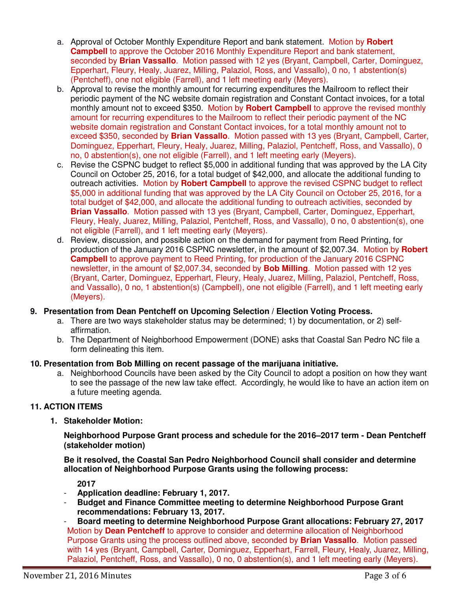- a. Approval of October Monthly Expenditure Report and bank statement. Motion by **Robert Campbell** to approve the October 2016 Monthly Expenditure Report and bank statement, seconded by **Brian Vassallo**. Motion passed with 12 yes (Bryant, Campbell, Carter, Dominguez, Epperhart, Fleury, Healy, Juarez, Milling, Palaziol, Ross, and Vassallo), 0 no, 1 abstention(s) (Pentcheff), one not eligible (Farrell), and 1 left meeting early (Meyers).
- b. Approval to revise the monthly amount for recurring expenditures the Mailroom to reflect their periodic payment of the NC website domain registration and Constant Contact invoices, for a total monthly amount not to exceed \$350. Motion by **Robert Campbell** to approve the revised monthly amount for recurring expenditures to the Mailroom to reflect their periodic payment of the NC website domain registration and Constant Contact invoices, for a total monthly amount not to exceed \$350, seconded by **Brian Vassallo**. Motion passed with 13 yes (Bryant, Campbell, Carter, Dominguez, Epperhart, Fleury, Healy, Juarez, Milling, Palaziol, Pentcheff, Ross, and Vassallo), 0 no, 0 abstention(s), one not eligible (Farrell), and 1 left meeting early (Meyers).
- c. Revise the CSPNC budget to reflect \$5,000 in additional funding that was approved by the LA City Council on October 25, 2016, for a total budget of \$42,000, and allocate the additional funding to outreach activities. Motion by **Robert Campbell** to approve the revised CSPNC budget to reflect \$5,000 in additional funding that was approved by the LA City Council on October 25, 2016, for a total budget of \$42,000, and allocate the additional funding to outreach activities, seconded by **Brian Vassallo**. Motion passed with 13 yes (Bryant, Campbell, Carter, Dominguez, Epperhart, Fleury, Healy, Juarez, Milling, Palaziol, Pentcheff, Ross, and Vassallo), 0 no, 0 abstention(s), one not eligible (Farrell), and 1 left meeting early (Meyers).
- d. Review, discussion, and possible action on the demand for payment from Reed Printing, for production of the January 2016 CSPNC newsletter, in the amount of \$2,007.34. Motion by **Robert Campbell** to approve payment to Reed Printing, for production of the January 2016 CSPNC newsletter, in the amount of \$2,007.34, seconded by **Bob Milling**. Motion passed with 12 yes (Bryant, Carter, Dominguez, Epperhart, Fleury, Healy, Juarez, Milling, Palaziol, Pentcheff, Ross, and Vassallo), 0 no, 1 abstention(s) (Campbell), one not eligible (Farrell), and 1 left meeting early (Meyers).

#### **9. Presentation from Dean Pentcheff on Upcoming Selection / Election Voting Process.**

- a. There are two ways stakeholder status may be determined; 1) by documentation, or 2) selfaffirmation.
- b. The Department of Neighborhood Empowerment (DONE) asks that Coastal San Pedro NC file a form delineating this item.

#### **10. Presentation from Bob Milling on recent passage of the marijuana initiative.**

a. Neighborhood Councils have been asked by the City Council to adopt a position on how they want to see the passage of the new law take effect. Accordingly, he would like to have an action item on a future meeting agenda.

#### **11. ACTION ITEMS**

**1. Stakeholder Motion:** 

**Neighborhood Purpose Grant process and schedule for the 2016–2017 term - Dean Pentcheff (stakeholder motion)** 

**Be it resolved, the Coastal San Pedro Neighborhood Council shall consider and determine allocation of Neighborhood Purpose Grants using the following process:** 

**2017** 

- **Application deadline: February 1, 2017.**
- **Budget and Finance Committee meeting to determine Neighborhood Purpose Grant recommendations: February 13, 2017.**

- **Board meeting to determine Neighborhood Purpose Grant allocations: February 27, 2017**  Motion by **Dean Pentcheff** to approve to consider and determine allocation of Neighborhood Purpose Grants using the process outlined above, seconded by **Brian Vassallo**. Motion passed with 14 yes (Bryant, Campbell, Carter, Dominguez, Epperhart, Farrell, Fleury, Healy, Juarez, Milling, Palaziol, Pentcheff, Ross, and Vassallo), 0 no, 0 abstention(s), and 1 left meeting early (Meyers).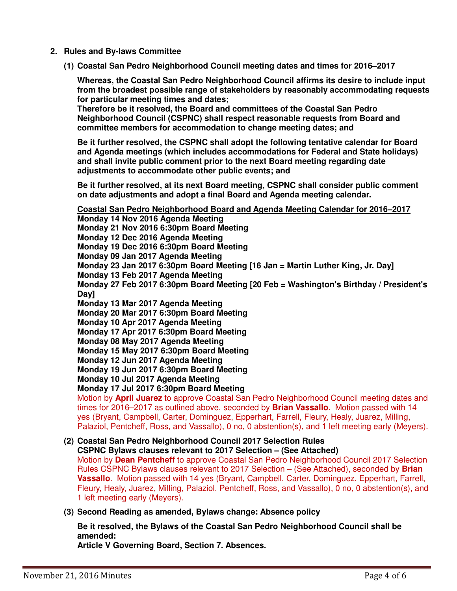- **2. Rules and By-laws Committee** 
	- **(1) Coastal San Pedro Neighborhood Council meeting dates and times for 2016–2017**

**Whereas, the Coastal San Pedro Neighborhood Council affirms its desire to include input from the broadest possible range of stakeholders by reasonably accommodating requests for particular meeting times and dates;** 

**Therefore be it resolved, the Board and committees of the Coastal San Pedro Neighborhood Council (CSPNC) shall respect reasonable requests from Board and committee members for accommodation to change meeting dates; and** 

**Be it further resolved, the CSPNC shall adopt the following tentative calendar for Board and Agenda meetings (which includes accommodations for Federal and State holidays) and shall invite public comment prior to the next Board meeting regarding date adjustments to accommodate other public events; and**

**Be it further resolved, at its next Board meeting, CSPNC shall consider public comment on date adjustments and adopt a final Board and Agenda meeting calendar.** 

**Coastal San Pedro Neighborhood Board and Agenda Meeting Calendar for 2016–2017** 

**Monday 14 Nov 2016 Agenda Meeting Monday 21 Nov 2016 6:30pm Board Meeting Monday 12 Dec 2016 Agenda Meeting Monday 19 Dec 2016 6:30pm Board Meeting Monday 09 Jan 2017 Agenda Meeting Monday 23 Jan 2017 6:30pm Board Meeting [16 Jan = Martin Luther King, Jr. Day] Monday 13 Feb 2017 Agenda Meeting Monday 27 Feb 2017 6:30pm Board Meeting [20 Feb = Washington's Birthday / President's Day] Monday 13 Mar 2017 Agenda Meeting Monday 20 Mar 2017 6:30pm Board Meeting Monday 10 Apr 2017 Agenda Meeting Monday 17 Apr 2017 6:30pm Board Meeting Monday 08 May 2017 Agenda Meeting Monday 15 May 2017 6:30pm Board Meeting Monday 12 Jun 2017 Agenda Meeting Monday 19 Jun 2017 6:30pm Board Meeting Monday 10 Jul 2017 Agenda Meeting Monday 17 Jul 2017 6:30pm Board Meeting**  Motion by **April Juarez** to approve Coastal San Pedro Neighborhood Council meeting dates and times for 2016–2017 as outlined above, seconded by **Brian Vassallo**. Motion passed with 14 yes (Bryant, Campbell, Carter, Dominguez, Epperhart, Farrell, Fleury, Healy, Juarez, Milling,

Palaziol, Pentcheff, Ross, and Vassallo), 0 no, 0 abstention(s), and 1 left meeting early (Meyers).

# **(2) Coastal San Pedro Neighborhood Council 2017 Selection Rules**

**CSPNC Bylaws clauses relevant to 2017 Selection – (See Attached)**  Motion by **Dean Pentcheff** to approve Coastal San Pedro Neighborhood Council 2017 Selection Rules CSPNC Bylaws clauses relevant to 2017 Selection – (See Attached), seconded by **Brian Vassallo**. Motion passed with 14 yes (Bryant, Campbell, Carter, Dominguez, Epperhart, Farrell, Fleury, Healy, Juarez, Milling, Palaziol, Pentcheff, Ross, and Vassallo), 0 no, 0 abstention(s), and 1 left meeting early (Meyers).

**(3) Second Reading as amended, Bylaws change: Absence policy** 

**Be it resolved, the Bylaws of the Coastal San Pedro Neighborhood Council shall be amended:** 

**Article V Governing Board, Section 7. Absences.**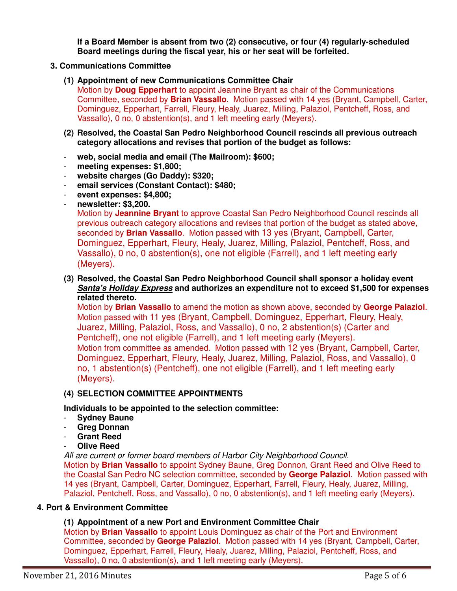**If a Board Member is absent from two (2) consecutive, or four (4) regularly-scheduled Board meetings during the fiscal year, his or her seat will be forfeited.** 

#### **3. Communications Committee**

**(1) Appointment of new Communications Committee Chair** 

Motion by **Doug Epperhart** to appoint Jeannine Bryant as chair of the Communications Committee, seconded by **Brian Vassallo**. Motion passed with 14 yes (Bryant, Campbell, Carter, Dominguez, Epperhart, Farrell, Fleury, Healy, Juarez, Milling, Palaziol, Pentcheff, Ross, and Vassallo), 0 no, 0 abstention(s), and 1 left meeting early (Meyers).

- **(2) Resolved, the Coastal San Pedro Neighborhood Council rescinds all previous outreach category allocations and revises that portion of the budget as follows:**
- **web, social media and email (The Mailroom): \$600;**
- meeting expenses: \$1,800;
- **website charges (Go Daddy): \$320;**
- **email services (Constant Contact): \$480;**
- **event expenses: \$4,800;**
- **newsletter: \$3,200.**

Motion by **Jeannine Bryant** to approve Coastal San Pedro Neighborhood Council rescinds all previous outreach category allocations and revises that portion of the budget as stated above, seconded by **Brian Vassallo**. Motion passed with 13 yes (Bryant, Campbell, Carter, Dominguez, Epperhart, Fleury, Healy, Juarez, Milling, Palaziol, Pentcheff, Ross, and Vassallo), 0 no, 0 abstention(s), one not eligible (Farrell), and 1 left meeting early (Meyers).

**(3) Resolved, the Coastal San Pedro Neighborhood Council shall sponsor a holiday event Santa's Holiday Express and authorizes an expenditure not to exceed \$1,500 for expenses related thereto.** 

Motion by **Brian Vassallo** to amend the motion as shown above, seconded by **George Palaziol**. Motion passed with 11 yes (Bryant, Campbell, Dominguez, Epperhart, Fleury, Healy, Juarez, Milling, Palaziol, Ross, and Vassallo), 0 no, 2 abstention(s) (Carter and Pentcheff), one not eligible (Farrell), and 1 left meeting early (Meyers). Motion from committee as amended. Motion passed with 12 yes (Bryant, Campbell, Carter, Dominguez, Epperhart, Fleury, Healy, Juarez, Milling, Palaziol, Ross, and Vassallo), 0 no, 1 abstention(s) (Pentcheff), one not eligible (Farrell), and 1 left meeting early (Meyers).

#### **(4) SELECTION COMMITTEE APPOINTMENTS**

## **Individuals to be appointed to the selection committee:**

- **Sydney Baune**
- **Greg Donnan**
- Grant Reed
- **Olive Reed**

All are current or former board members of Harbor City Neighborhood Council.

Motion by **Brian Vassallo** to appoint Sydney Baune, Greg Donnon, Grant Reed and Olive Reed to the Coastal San Pedro NC selection committee, seconded by **George Palaziol**. Motion passed with 14 yes (Bryant, Campbell, Carter, Dominguez, Epperhart, Farrell, Fleury, Healy, Juarez, Milling, Palaziol, Pentcheff, Ross, and Vassallo), 0 no, 0 abstention(s), and 1 left meeting early (Meyers).

#### **4. Port & Environment Committee**

## **(1) Appointment of a new Port and Environment Committee Chair**

Motion by **Brian Vassallo** to appoint Louis Dominguez as chair of the Port and Environment Committee, seconded by **George Palaziol**. Motion passed with 14 yes (Bryant, Campbell, Carter, Dominguez, Epperhart, Farrell, Fleury, Healy, Juarez, Milling, Palaziol, Pentcheff, Ross, and Vassallo), 0 no, 0 abstention(s), and 1 left meeting early (Meyers).